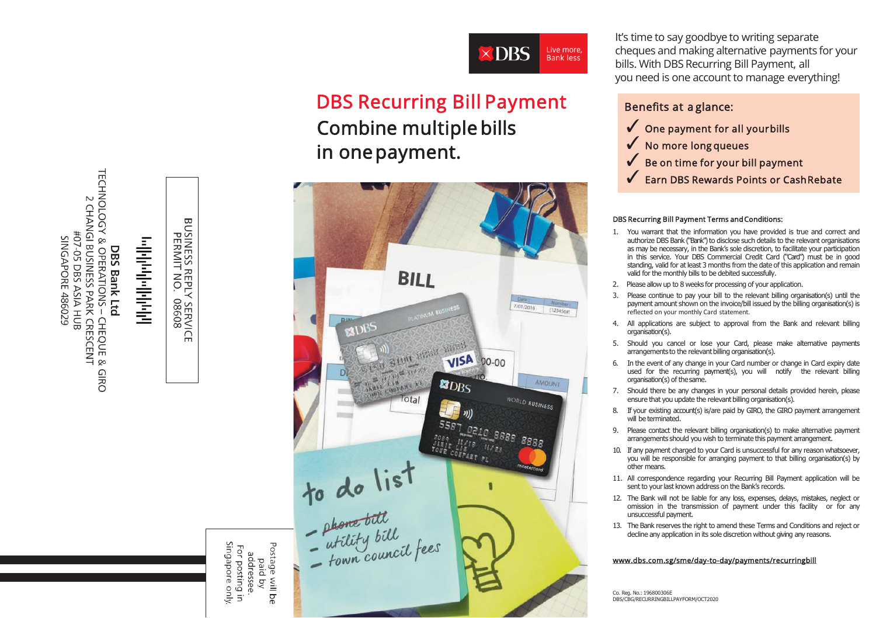

# DBS Recurring Bill Payment Combine multiple bills in onepayment.



It's time to say goodbye to writing separate cheques and making alternative payments for your bills. With DBS Recurring Bill Payment, all you need is one account to manage everything!

## Benefits at a glance:

- $\checkmark$  One payment for all yourbills
- ✓ No more long queues
- Be on time for your bill payment
- Earn DBS Rewards Points or CashRebate

#### DBS Recurring Bill Payment Terms andConditions:

- 1. You warrant that the information you have provided is true and correct and authorize DBS Bank (''Bank'') to disclose such details to the relevant organisations as may be necessary, in the Bank's sole discretion, to facilitate your participation in this service. Your DBS Commercial Credit Card ("Card") must be in good standing, valid for at least 3 months from the date of this application and remain valid for the monthly bills to be debited successfully.
- 2. Please allow up to 8 weeks for processing of your application.
- 3. Please continue to pay your bill to the relevant billing organisation(s) until the payment amount shown on the invoice/bill issued by the billing organisation(s) is reflected on your monthly Card statement.
- 4. All applications are subject to approval from the Bank and relevant billing organisation(s).
- 5. Should you cancel or lose your Card, please make alternative payments arrangements to the relevant billing organisation(s).
- 6. In the event of any change in your Card number or change in Card expiry date used for the recurring payment(s), you will notify the relevant billing organisation(s) of thesame.
- 7. Should there be any changes in your personal details provided herein, please ensure that you update the relevant billing organisation(s).
- 8. If your existing account(s) is/are paid by GIRO, the GIRO payment arrangement will be terminated.
- 9. Please contact the relevant billing organisation(s) to make alternative payment arrangements should you wish to terminate this payment arrangement.
- 10. If any payment charged to your Card is unsuccessful for any reason whatsoever, you will be responsible for arranging payment to that billing organisation(s) by other means.
- 11. All correspondence regarding your Recurring Bill Payment application will be sent to your last known address on the Bank's records.
- 12. The Bank will not be liable for any loss, expenses, delays, mistakes, neglect or omission in the transmission of payment under this facility or for any unsuccessful payment.
- 13. The Bank reserves the right to amend these Terms and Conditions and reject or decline any application in its sole discretion without giving any reasons.

#### [www.dbs.com.sg/sme/day-to-day/payments/recurringbill](http://www.dbs.com.sg/sme/day-to-day/payments/recurringbill)

Co. Reg. No.: 196800306E DBS/CBG/RECURRINGBILLPAYFORM/OCT2020

**DBS Bank Ltd<br>TECHNOLOGY & OPERATIONS – CHEQUE & GIRO<br>2 CHANGI BUSINESS PARK CRESCENT<br>#07-05 DBS ASIA HUB<br>SINGAPORE 486029** 

# والوابولو والموالوالي

**BUSINESS R**<br>PERMIT S REPLY<br>T NO. ( **Y SERVICE**<br>08608

paid by<br>addresse.<br>For posting in<br>Singapore only